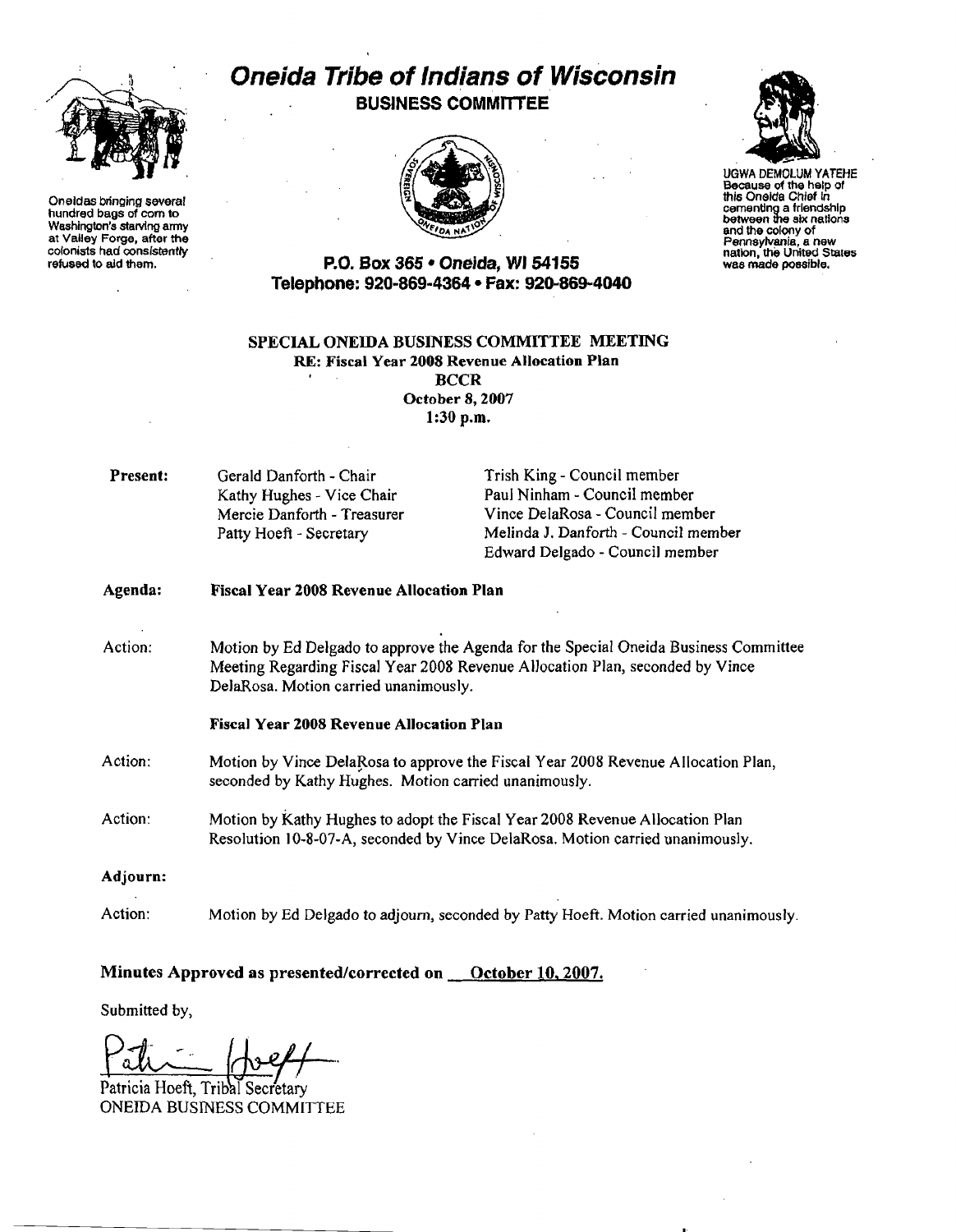

Oneldas bringing several hundred bags of corn to Washington's starvlng army at Valley Forge, after the colonists had consistently refused to aid them.

# Oneida Tribe of Indians of Wisconsin **BUSINESS COMMITTEE**





Because of the help of this Oneida Chief In cementing a friendship<br>between the aix nations and the colony of Pennsylvania, a new<br>nation, the United States<br>was made possible.

# P.O. Box 365 • Oneida, WI 54155 Telephone: 920-869-4364 • Fax: 920-869-4040

#### SPECIAL ONEIDA BUSINESS COMMITTEE MEETING RE: Fiscal Year 2008 Revenue Allocatiou Plan **BCCR** October 8, 2007

1:30 p.m.

**Present:** Gerald Danforth - Chair Trish King - Council member

Kathy Hughes - Vice Chair Paul Ninham - Council member Mercie Danforth - Treasurer Vince DelaRosa - Council member Patty Hoeft - Secretary Melinda J. Danforth - Council member Edward Delgado - Council member

| Agenda: | <b>Fiscal Year 2008 Revenue Allocation Plan</b>                                                                                                                                                                |
|---------|----------------------------------------------------------------------------------------------------------------------------------------------------------------------------------------------------------------|
| Action: | Motion by Ed Delgado to approve the Agenda for the Special Oneida Business Committee<br>Meeting Regarding Fiscal Year 2008 Revenue Allocation Plan, seconded by Vince<br>DelaRosa. Motion carried unanimously. |
|         | Fiscal Year 2008 Revenue Allocation Plan                                                                                                                                                                       |
| Action: | Motion by Vince DelaRosa to approve the Fiscal Year 2008 Revenue Allocation Plan,<br>seconded by Kathy Hughes. Motion carried unanimously.                                                                     |
| Action: | Motion by Kathy Hughes to adopt the Fiscal Year 2008 Revenue Allocation Plan<br>Resolution 10-8-07-A, seconded by Vince DelaRosa. Motion carried unanimously.                                                  |
|         |                                                                                                                                                                                                                |

- Adjourn:
- Action: Motion by Ed Delgado to adjourn, seconded by Patty Hoeft. Motion carried unanimously.

# Minutes Approved as presented/corrected on **October 10, 2007.**

Submitted by,

 $Path$  ( beff

Patricia Hoeft, Tribal Secretary ONEIDA BUSINESS COMMITTEE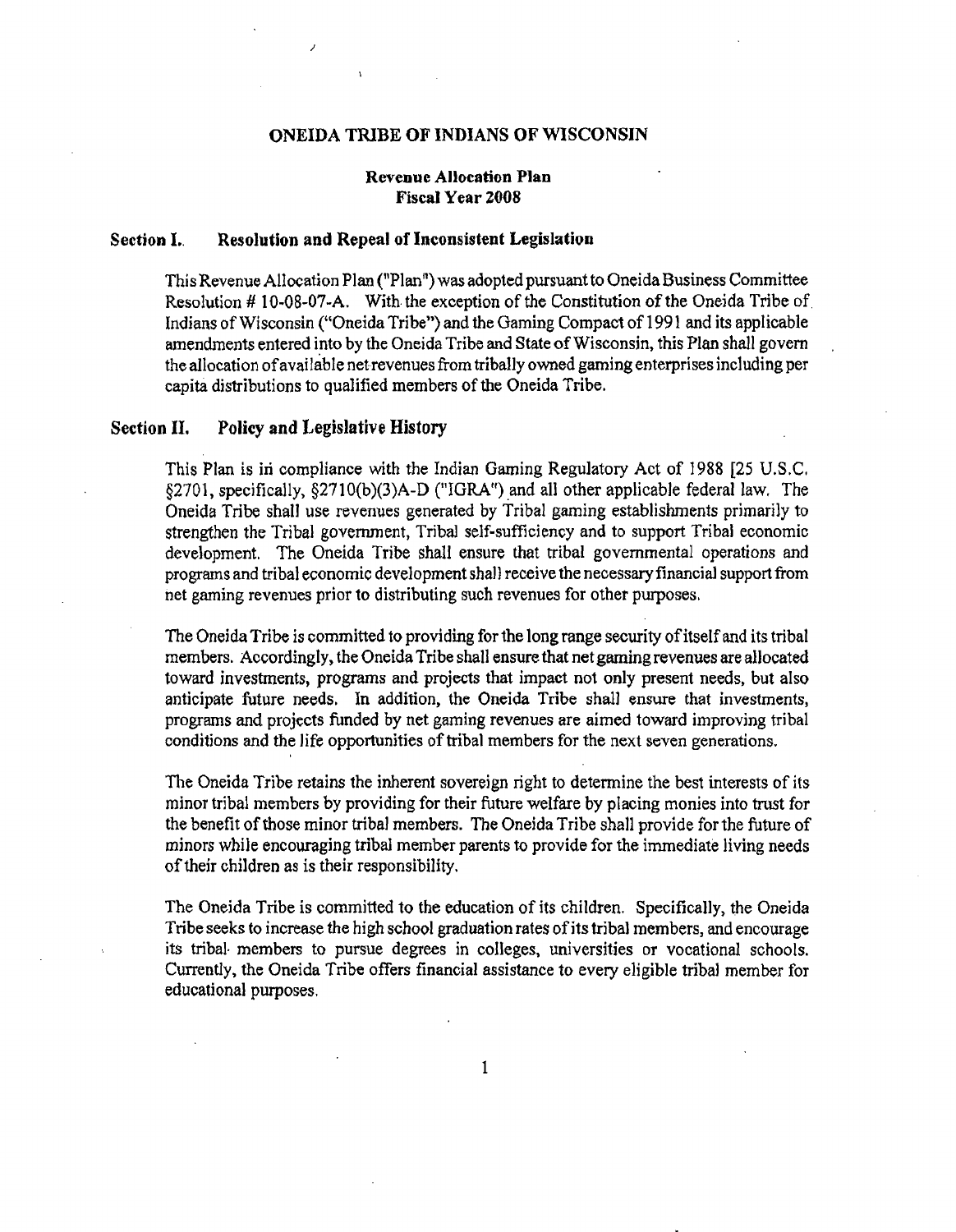#### ONEIDA TRIBE OF INDIANS OF WISCONSIN

# Revenue Allocation Plan Fiscal Year 2008

#### Section I.. Resolution and Repeal of Inconsistent Legislation

)

This Revenue Allocation Plan ("Plan") was adopted pursuant to Oneida Business Committee Resolution #10-08-07-A. With the exception of the Constitution of the Oneida Tribe of Indians of Wisconsin ("Oneida Tribe") and the Gaming Compact of 1991 and its applicable amendments entered into by the Oneida Tribe and State of Wisconsin, this Plan shall govern the allocation ofavailable net revenues from tribally owned gaming enterprises including per capita distributions to qualified members of the Oneida Tribe.

# Section II. Policy and Legislative History

This Plan is in compliance with the Indian Gaming Regulatory Act of 1988 [25 U.S.C. §2701, specifically, §2710(b)(3)A-D ("IGRA") and all other applicable federal law. The Oneida Tribe shall use revenues generated by Tribal gaming establishments primarily to strengthen the Tribal government, Tribal self-sufficiency and to support Tribal economic development. The Oneida Tribe shall ensure that tribal governmental operations and programs and tribal economic development shall receive the necessary financial support from net gaming revenues prior to distributing such revenues for other purposes.

The Oneida Tribe is committed to providing for the long range security of itself and its tribal members. Accordingly, the Oneida Tribe shall ensure that net gaming revenues are allocated toward investments, programs and projects that impact not only present needs. but also anticipate future needs. In addition, the Oneida Tribe shall ensure that investments, programs and projects funded by net gaming revenues are aimed toward improving tribal conditions and the life opportunities of tribal members for the next seven generations.

The Oneida Tribe retains the inherent sovereign right to detennine the best interests of its minor tribal members by providing for their future welfare by placing monies into trust for the benefit of those minor tribal members. The Oneida Tribe shall provide for the future of minors while encouraging tribal member parents to provide for the immediate living needs of their children as is their responsibility.

The Oneida Tribe is committed to the education of its children. Specifically, the Oneida Tribe seeks to increase the high school graduation rates of its tribal members, and encourage its tribal· members to pursue degrees in colleges, universities or vocational schools. Currently, the Oneida Tribe offers financial assistance to every eligible tribal member for educational purposes.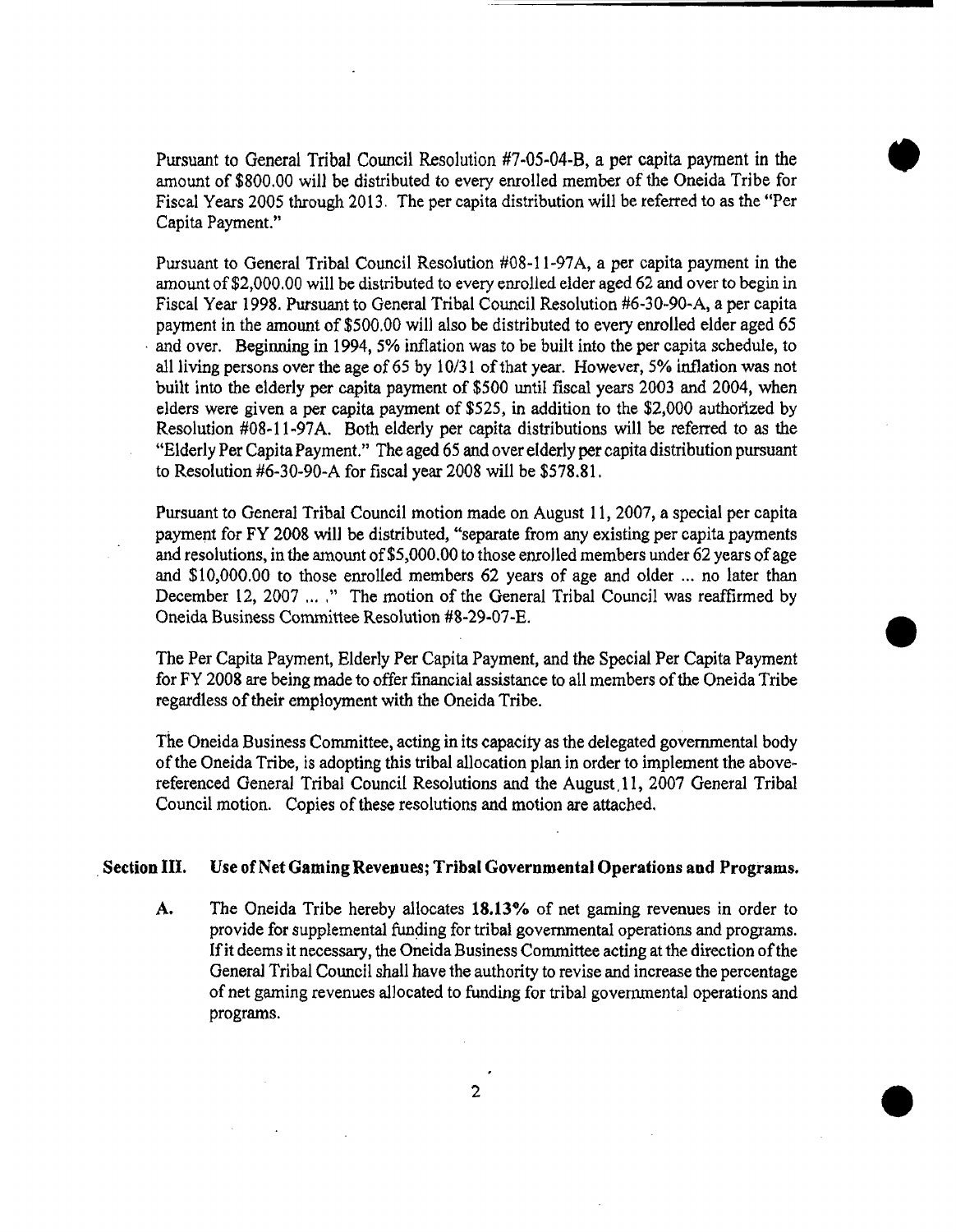Pursuant to General Tribal Council Resolution #7-05-04-B, a per capita payment in the amount of \$800.00 will be distributed to every enrolled member of the Oneida Tribe Fiscal Years 2005 through 2013. The per capita distribution will be referred to as the "Per for<br>for<br>Per Capita Payment."

Pursuant to General Tribal Council Resolution #08-11-97A, a per capita payment in the amount of\$2,000.OO will be distributed to every enrolled elder aged 62 and over to begin in Fiscal Year 1998. Pursuant to General Tribal Council Resolution #6-30-90-A, a per capita payment in the amount of \$500.00 will also be distributed to every enrolled elder aged 65 and over. Beginning in 1994, 5% inflation was to be built into the per capita schedule, to all living persons over the age of 65 by  $10/31$  of that year. However, 5% inflation was not built into the elderly per capita payment of \$500 until fiscal years 2003 and 2004, when elders were given a per capita payment of \$525, in addition to the \$2,000 authorized by Resolution #08-11·97A. Both elderly per capita distributions will be referred to as the "Elderly Per Capita Payment." The aged 65 and over elderly per capita distribution pursuant to Resolution #6-30-90-A for fiscal year 2008 will be \$578.81.

Pursuant to General Tribal Council motion made on August 11, 2007, a special per capita payment for FY 2008 will be distributed, "separate from any existing per capita payments and resolutions, in the amount of  $\$5,\!000.00$  to those enrolled members under 62 years of age and \$10,000.00 to those enrolled members 62 years of age and older ... no later than December 12, 2007 ....." The motion of the General Tribal Council was reaffirmed by Oneida Business Committee Resolution #8-29-07-E.

for FY 2008 are being made to offer financial assistance to all members of the Oneida Tribe The Per Capita Payment, Elderly Per Capita Payment, and the Special Per Capita Payment regardless of their employment with the Oneida Tribe.

**•** 

The Oneida Business Committee, acting in its capacity as the delegated governmental body of the Oneida Tribe, is adopting this tribal allocation plan in order to implement the abovereferenced General Tribal Council Resolutions and the August,l1, 2007 General Tribal Council motion. Copies of these resolutions and motion are attached.

# Section III. Use of Net Gaming Revenues; Tribal Governmental Operations and Programs.

A. The Oneida Tribe hereby allocates 18.13% of net gaming revenues in order to provide for supplemental funding for tribal governmental operations and programs. If it deems it necessary, the Oneida Business Committee acting at the direction of the General Tribal Council shall have the authority to revise and increase the percentage of net gaming revenues allocated to funding for tribal governmental operations and programs.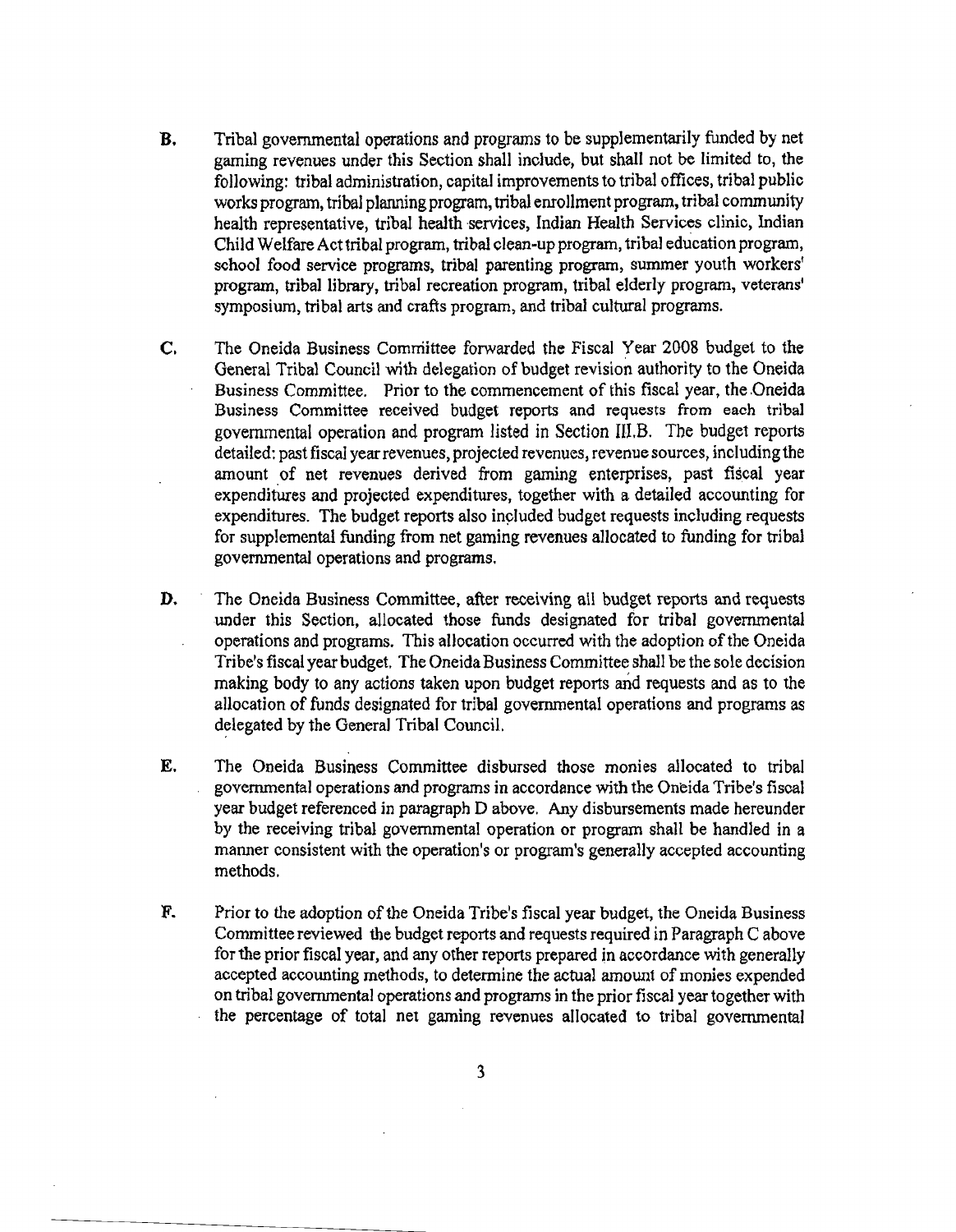- **B.** Tribal governmental operations and programs to be supplementarily funded by net gaming revenues under this Section shall include, but shall not be limited to, the following: tribal administration, capital improvements to tribal offices, tribal public works program, tribal planning program, tribal enrollment program, tribal community health representative, tribal health services, Indian Health Services clinic, Indian Child Welfare Act tribal program, tribal clean-up program, tribal education program, school food service programs, tribal parenting program, summer youth workers' program, tribal library, tribal recreation program, tribal elderly program, veterans' symposium, tribal arts and crafts program, and tribal cultural programs.
- C. The Oneida Business Comrriittee forwarded the Fiscal Year 2008 budget to the General Tribal Council with delegation of budget revision authority to the Oneida Business Committee. Prior to the commencement of this fiscal year, the Oneida Business Committee received budget reports and requests from each tribal governmental operation and program listed in Section III.B. The budget reports detailed: past fiscal year revenues, projected revenues, revenue sources, including the amount of net revenues derived from gaming enterprises, past fiscal year expenditures and projected expenditures, together with a detailed accounting for expenditures. The budget reports also included budget requests including requests for supplemental funding from net gaming revenues allocated to funding for tribal governmental operations and programs.
- **D.** The Oneida Business Committee, after receiving all budget reports and requests under this Section, allocated those funds designated for tribal governmental operations and programs. This allocation occurred with the adoption of the Oneida Tribe's fiscal year budget. The Oneida Business Committee shall be the sole decision making body to any actions taken upon budget reports and requests and as to the allocation of funds designated for tribal governmental operations and programs as delegated by the General Tribal Council.
- E. The Oneida Business Committee disbursed those monies allocated to tribal governmental operations and programs in accordance with the Oneida Tribe's fiscal year budget referenced in paragraph D above. Any disbursements made hereunder by the receiving tribal governmental operation or program shall be handled in a manner consistent with the operation's or program's generally accepted accounting methods.
- F. Prior to the adoption of the Oneida Tribe's fiscal year budget, the Oneida Business Committee reviewed the budget reports and requests required in Paragraph C above for the prior fiscal year, and any other reports prepared in accordance with generally accepted accounting methods, to determine the actual amount of monies expended on tribal governmental operations and programs in the prior fiscal year together with the percentage of total net gaming revenues allocated to tribal governmental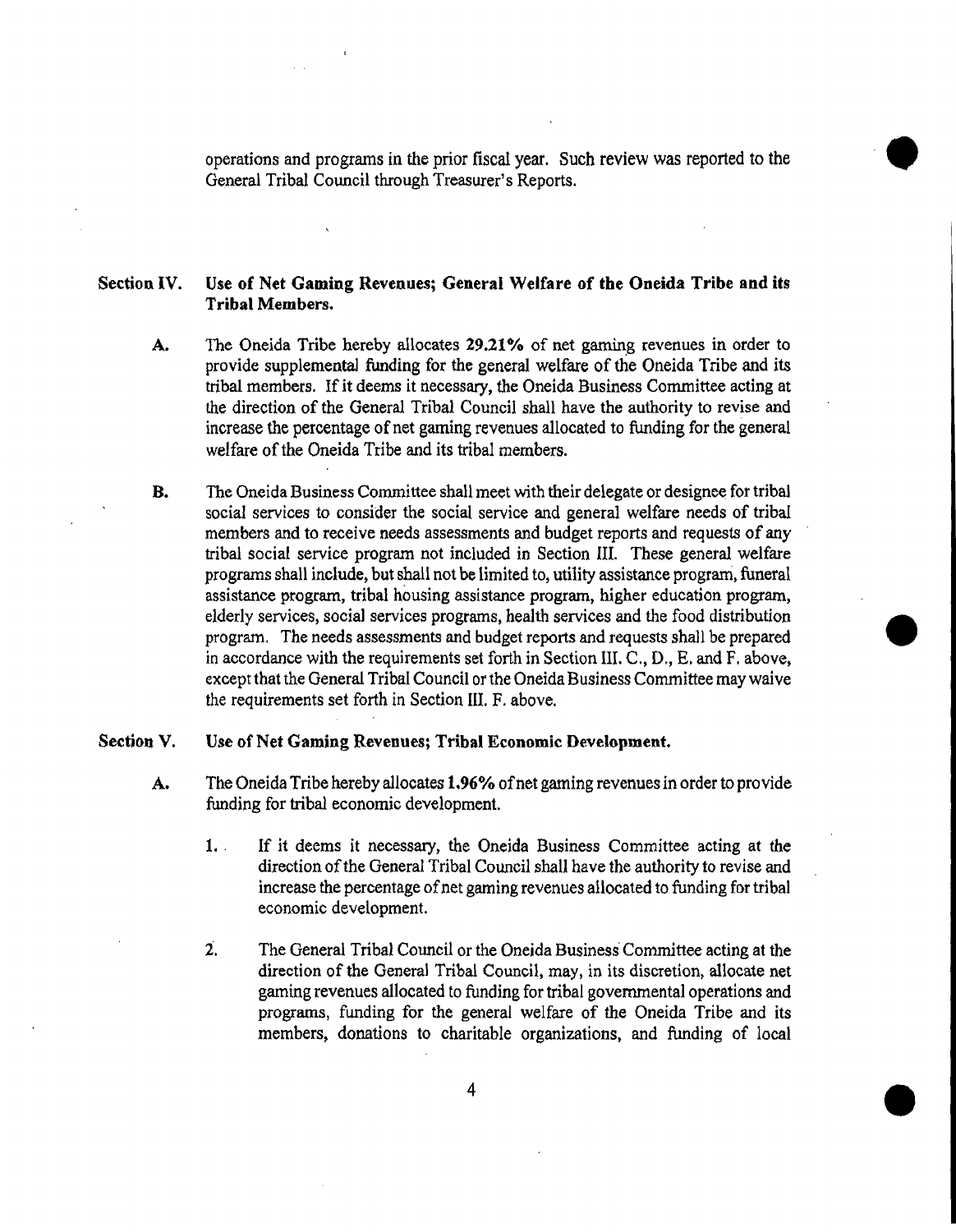operations and programs in the prior fiscal year. Such review was reported to the operations and programs in the prior fiscal year. Such review was reported to the General Tribal Council through Treasurer's Reports.

# Section IV. Use of Net Gaming Revenues; General Welfare of the Oneida Tribe and its Tribal Members.

- A. The Oneida Tribe hereby allocates 29.21% of net gaming revenues in order to provide supplementaJ funding for the general welfare of the Oneida Tribe and its tribal members. If it deems it necessary, the Oneida Business Committee acting at the direction of the General Tribal Council shall have the authority to revise and increase the percentage of net gaming revenues allocated to funding for the general welfare of the Oneida Tribe and its tribal members.
- **B.** The Oneida Business Committee shall meet with their delegate or designee for tribal social *services* to consider the social service and general welfare needs of tribal members and to receive needs assessments and budget reports and requests of any tribal social service program not included in Section III. These general welfare programs shall include, but shall not be limited to, utility assistance program, funeral assistance program, tribal housing assistance program, higher education program, elderly services, social services programs, health services and the food distribution program. The needs assessments and budget reports and requests shall be prepared except that the General Tribal Council or the Oneida Business Committee may waive in accordance with the requirements set forth in Section III. C., D., E. and F. above, the requirements set forth in Section III. F. above.

**•** 

#### Section V. Use of Net Gaming Revenues; Tribal Economic Development.

- A. The Oneida Tribe hereby allocates 1.96% of net gaming revenues in order to provide funding for tribal economic development.
	- 1. . If it deems it necessary, the Oneida Business Committee acting at the direction of the General Tribal Council shall have the authority to revise and increase the percentage of net gaming revenues allocated to funding for tribal economic development.
	- 2. The General Tribal Council or the Oneida Business Committee acting at the direction of the General Tribal Council, may, in its discretion, allocate net gaming revenues allocated to funding for tribal governmental operations and programs, funding for the general welfare of the Oneida Tribe and its members, donations to charitable organizations, and funding of local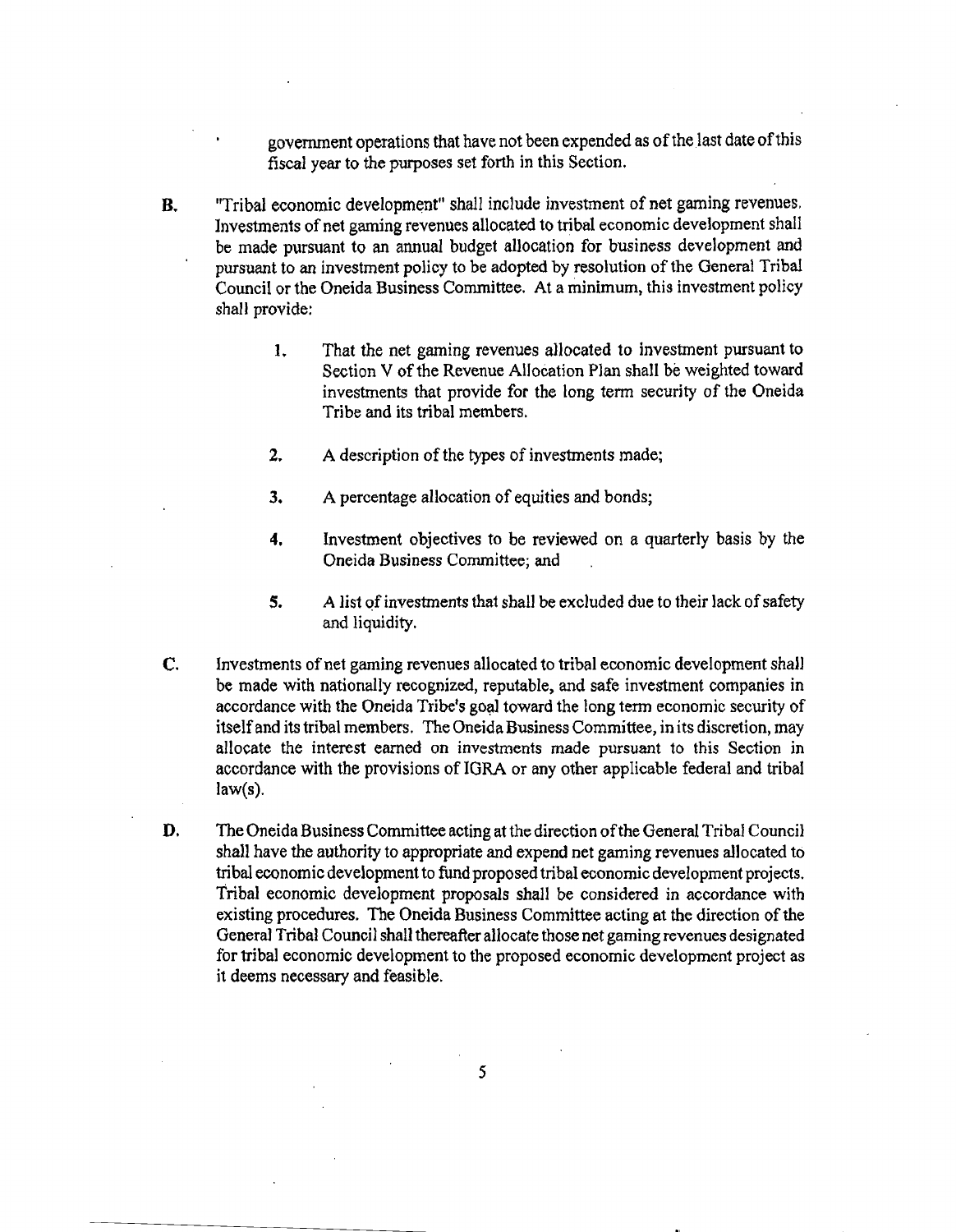government operations that have not been expended as of the last date of this fiscal year to the purposes set forth in this Section.

- B. "Tribal economic development" shall include investment of net gaming revenues. Investments of net gaming revenues allocated to tribal economic development shall be made pursuant to an annual budget allocation for business development and pursuant to an investment policy to be adopted by resolution of the General Tribal Council or the Oneida Business Committee. At a minimum, this investment policy shall provide:
	- 1. That the net gaming revenues allocated to investment pursuant to Section V of the Revenue Allocation Plan shall be weighted toward investments that provide for the long term security of the Oneida Tribe and its tribal members.
	- 2. A description of the types of investments made;
	- 3. A percentage allocation of equities and bonds;
	- **4.** Investment objectives to be reviewed on a quarterly basis by the Oneida Business Committee; and
	- 5. A list of investments that shall be excluded due to their lack of safety and liquidity.
- C. Investments of net gaming revenues allocated to tribal economic development shall be made with nationally recognized, reputable, and safe investment companies in accordance with the Oneida Tribe's goal toward the long term economic security of itself and its tribal members. The Oneida Business Committee, in its discretion, may allocate the interest earned on investments made pursuant to this Section in accordance with the provisions of lORA or any other applicable federal and tribal  $law(s)$ .
- **D.** The Oneida Business Committee acting at the direction of the General Tribal Council shall have the authority to appropriate and expend net gaming revenues allocated to tribal economic development to fund proposed tribal economic development projects. Tribal economic development proposals shall be considered in accordance with existing procedures. The Oneida Business Committee acting at the direction of the General Tribal Council shall thereafter allocate those net gaming revenues designated for tribal economic development to the proposed economic development project as it deems necessary and feasible.

5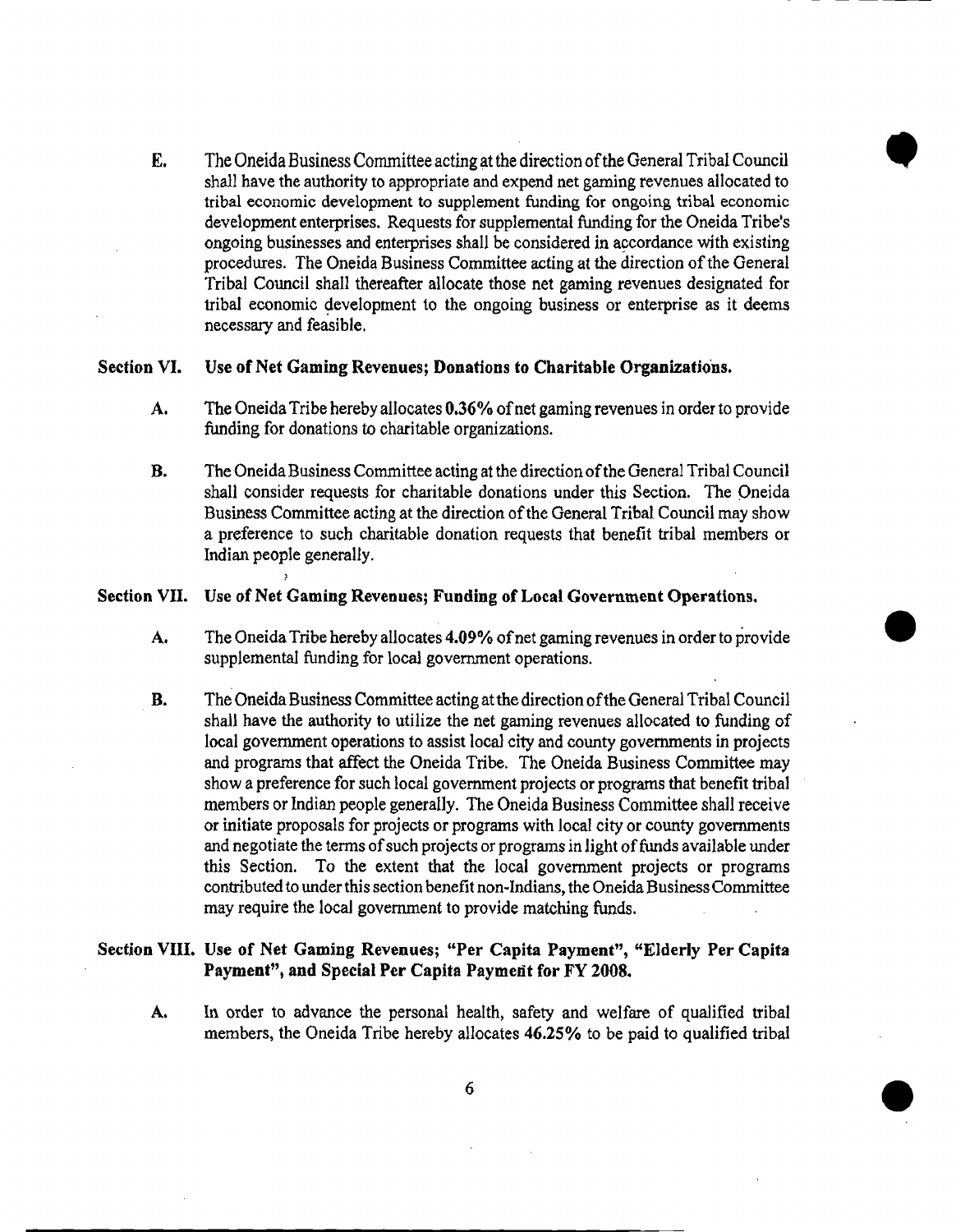E. The Oneida Business Committee acting lit the direction ofthe General Tribal Council tribal economic development to supplement funding for ongoing tribal economic shall have the authority to appropriate and expend net gaming revenues allocated to development enterprises. Requests for supplemental funding for the Oneida Tribe's ongoing businesses and enterprises shall be considered in accordance with existing procedures. The Oneida Business Committee acting at the direction ofthe General Tribal Council shall thereafter allocate those net gaming revenues designated for tribal economic development to the ongoing business or enterprise as it deems necessary and feasible.

- - --------------

•

#### Section VI. Use of Net Gaming Revenues; Donations to Charitable Organizations.

- A. The Oneida Tribe hereby allocates 0.36% of net gaming revenues in order to provide funding for donations to charitable organizations.
- **B.** The Oneida Business Committee acting at the direction of the General Tribal Council shall consider requests for charitable donations under this Section. The Oneida Business Committee acting at the direction ofthe General Tribal Council may show a preference to such charitable donation requests that benefit tribal members or Indian people general!y.

# Section VII. Use of Net Gaming Revenues; Funding of Local Government Operations.

- A. The Oneida Tribe hereby allocates 4.09% of net gaming revenues in order to provide supplemental funding for local government operations. Format Operations.
- **B.** The Oneida Business Committee acting at the direction of the General Tribal Council shall have the authority to utilize the net gaming revenues allocated to funding of local government operations to assist local city and county governments in projects and programs that affect the Oneida Tribe. The Oneida Business Committee may show a preference for such local government projects or programs that benefit tribal members or Indian people generally. The Oneida Business Committee shall receive or initiate proposals for projects or programs with local city or county governments and negotiate the terms of such projects or programs in light of funds available under this Section. To the extent that the local government projects or programs contributed to under this section benefit non-Indians, the Oneida Business Committee may require the local government to provide matching funds.

# Section VIII. Use of Net Gaming Revenues; "Per Capita Payment", "Elderly Per Capita Payment", and Special Per Capita Payment for FY 2008.

A. In order to advance the personal health, safety and welfare of qualified tribal members, the Oneida Tribe hereby allocates 46.25% to be paid to qualified tribal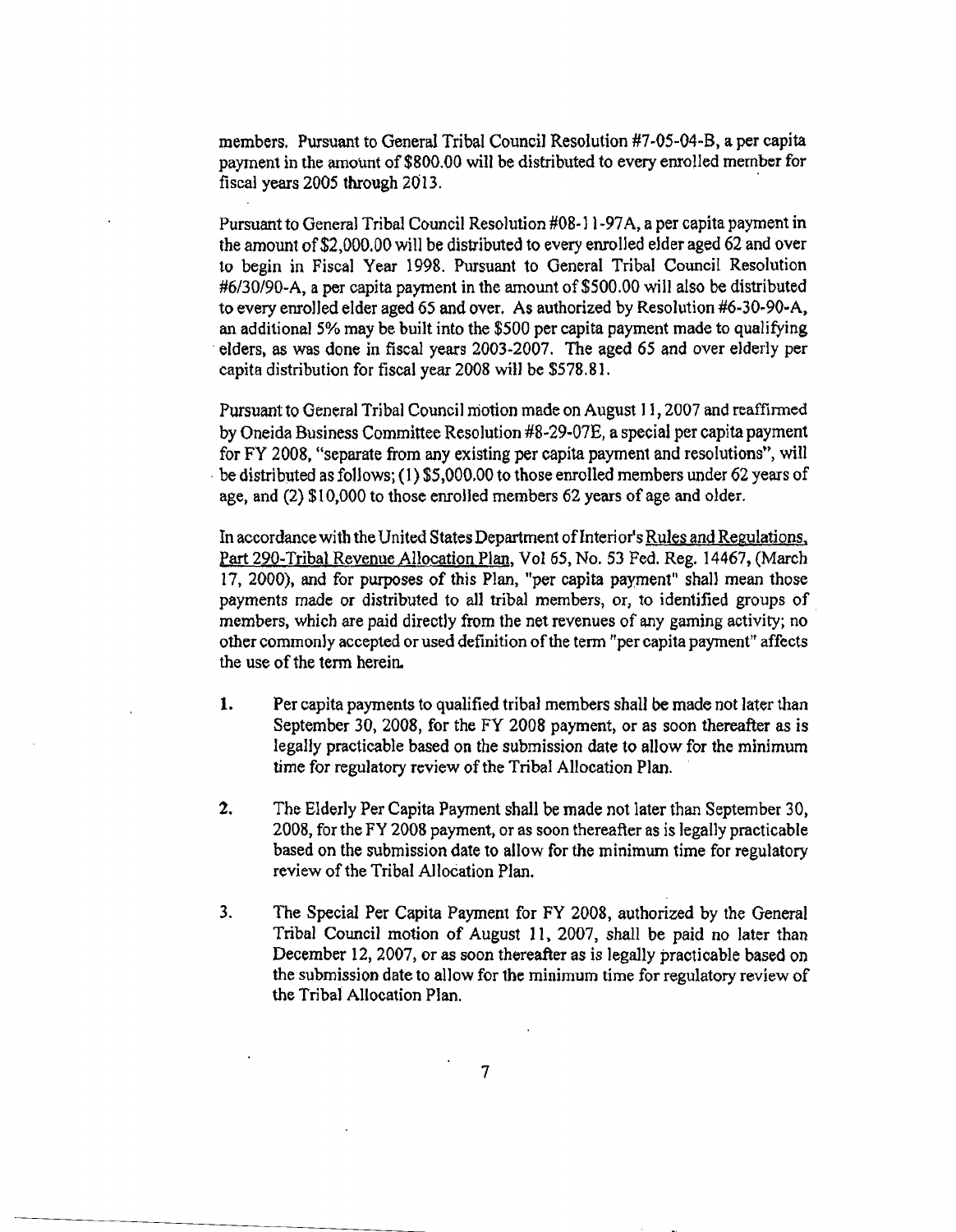members. Pursuant to General Tribal Council Resolution #7~05~04-B, a per capita payment in the amount of \$800.00 will be distributed to every enrolled member for fiscal years 2005 through 2013. .

Pursuant to General Tribal Council Resolution #08·] 1-97A, a per capita payment in the amount of\$2,000.00 will be distributed to every enrolled elder aged 62 and over to begin in Fiscal Year 1998. Pursuant to General Tribal Council Resolution #6/30/90-A, a per capita payment in the amount of \$500.00 will also be distributed to every enrolled elder aged 65 and over. As authorized by Resolution  $#6-30-90-A$ , an additional 5% may be built into the \$500 per capita payment made to qualifying . elders, as was done in fiscal years 2003·2007. The aged 65 and over elderly per capita distribution for fiscal year 2008 will be \$578.81.

Pursuant to General Tribal Council motion made on August J1,2007 and reaffinned by Oneida Business Committee Resolution #8-29-07E, a special per capita payment for FY 2008, "separate from any existing per capita payment and resolutions", will be distributed as follows; (1) \$5,000.00 to those enrolled members under 62 years of age, and (2) \$10,000 to those enrolled members 62 years of age and older.

In accordance with the United States Department of Interior's Rules and Regulations, Part 290-Tribal Revenue Allocation Plan, Vol 65, No. 53 Fed. Reg. 14467, (March 17, 2000), and for purposes of this Plan, "per capita payment" shall mean those payments made or distributed to all tribal members, or, to identified groups of members, which are paid directly from the net revenues of any gaming activity; no other commonly accepted or used definition of the term "per capita payment" affects the use of the term herein.

- 1. Per capita payments to qualified tribal members shall be made not later than September 3D, 2008, for the FY 2008 payment, or as soon thereafter as is legally practicable based on the submission date to allow for the minimum time for regulatory review of the Tribal Allocation Plan.
- 2. The Elderly Per Capita Payment shall be made not later than September 30, 2008, for the FY 2008 payment, or as soon thereafter as is legally practicable based on the submission date to allow for the minimum time for regulatory review of the Tribal Allocation Plan.
- 3. The Special Per Capita Payment for FY 2008, authorized by the General Tribal Council motion of August 11, 2007, shall be paid no later than December 12, 2007, or as soon thereafter as is legally practicable based on the submission date to allow for the minimum time for regulatory review of the Tribal Allocation Plan.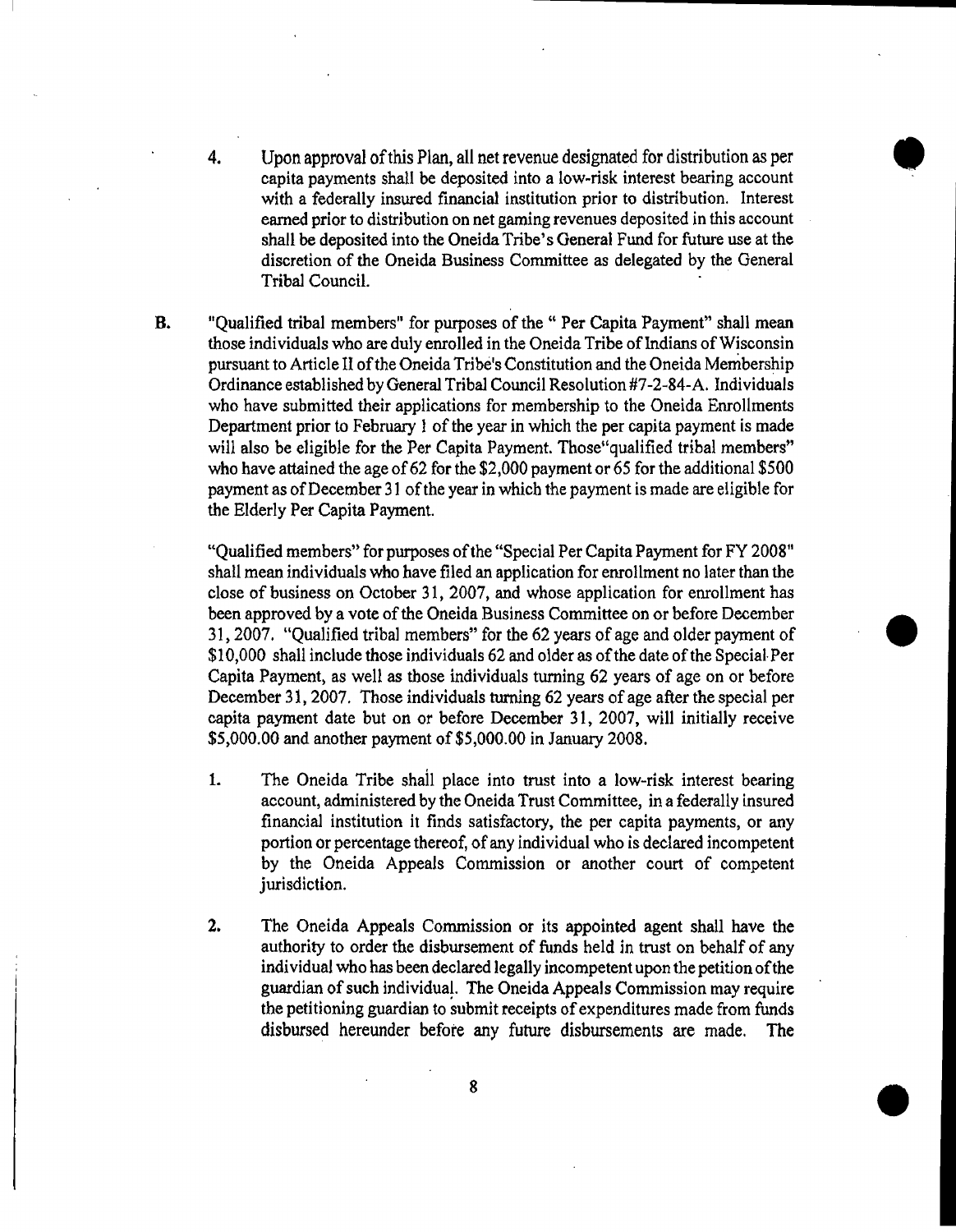4. Upon approval ofthis Plan, all net revenue designated for distribution as per with a federally insured financial institution prior to distribution. Interest capita payments shall be deposited into a low~risk interest bearing account earned prior to distribution on net gaming revenues deposited in this account shall be deposited into the Oneida Tribe's General Fund for future use at the discretion of the Oneida Business Committee as delegated by the General Tribal Council.

•

B. "Oualified tribal members" for purposes of the " Per Capita Payment" shall mean those individuals who are duly enrolled in the Oneida Tribe of Indians of Wisconsin pursuant to Article 11 ofthe Oneida Tribe's Constitution and the Oneida Membership Ordinance established by General Tribal Council Resolution #7-2~84-A. Individuals who have submitted their applications for membership to the Oneida Enrollments Department prior to February I of the year in which the per capita payment is made will also be eligible for the Per Capita Payment. Those unalified tribal members" who have attained the age of 62 for the  $$2,000$  payment or 65 for the additional  $$500$ payment as ofDecember 31 ofthe year in which the payment is made are eligible for the Elderly Per Capita Payment.

"Qualified members" for purposes of the "Special Per Capita Payment for FY 2008" shall mean individuals who have filed an application for enrollment no later than the close of business on October 31, 2007, and whose application for enrollment has been approved by a vote of the Oneida Business Committee on or before December 31, 2007. "Qualified tribal members" for the 62 years of age and older payment of Capita Payment, as well as those individuals turning 62 years of age on or before \$10,000 shall include those individuals 62 and older as of the date of the Special Per • December 31, 2007. Those individuals turning 62 years of age after the special per capita payment date but on or before December 31, 2007, will initially receive \$5,000.00 and another payment of \$5,000.00 in January 2008.

- 1. The Oneida Tribe shall place into trust into a low-risk interest bearing account, administered by the Oneida Trust Committee, in a federally insured financial institution it finds satisfactory, the per capita payments, or any portion or percentage thereof, of any individual who is declared incompetent by the Oneida Appeals Commission or another court of competent jurisdiction.
- 2. The Oneida Appeals Commission or its appointed agent shall have the authority to order the disbursement of funds held in trust on behalf of any individual who has been declared legally incompetent upon the petition ofthe guardian of such individuat. The Oneida Appeals Commission may require the petitioning guardian to submit receipts of expenditures made from funds disbursed hereunder befote any future disbursements are made. The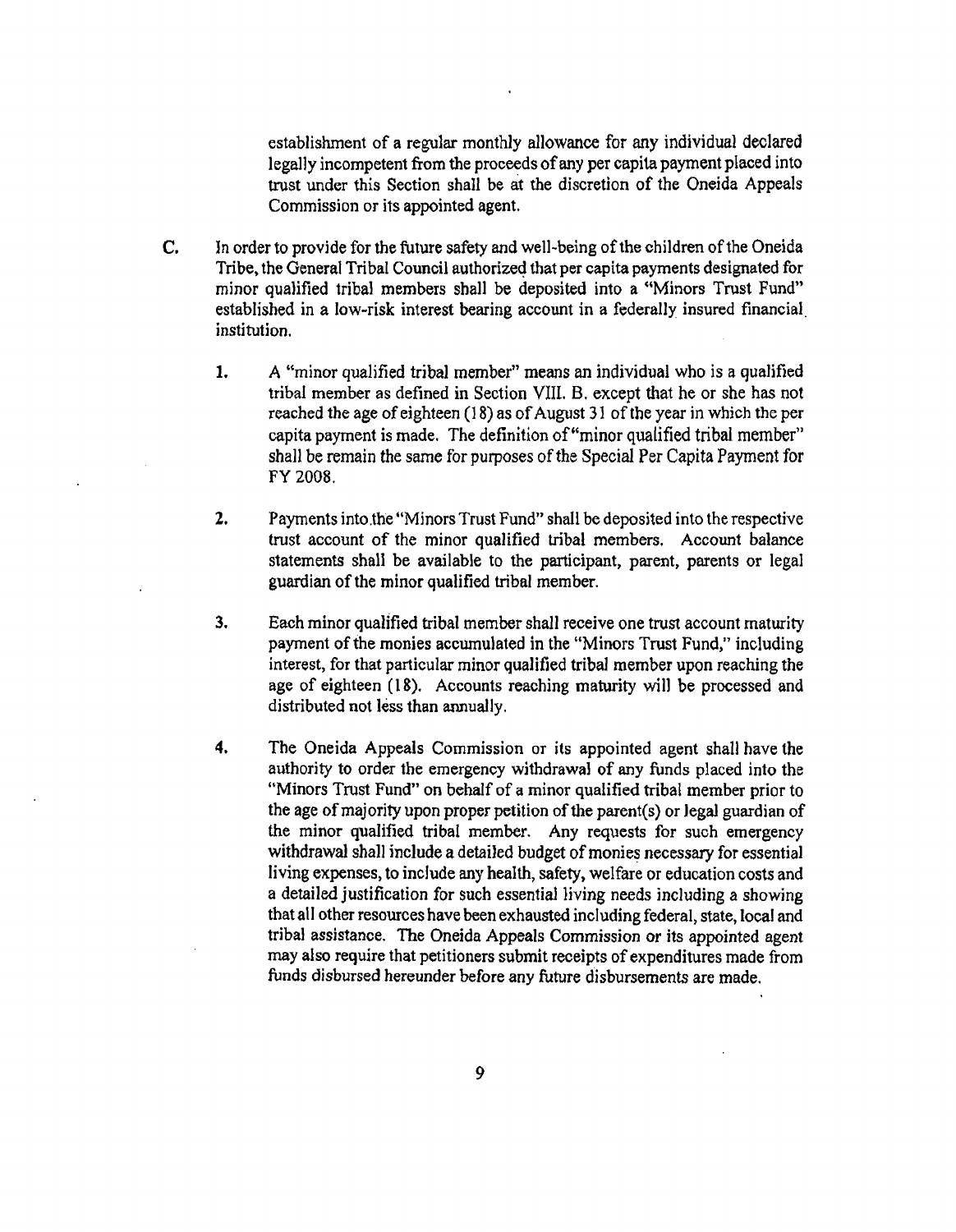establishment of a regular monthly allowance for any individual declared legally incompetent from the proceeds ofany per capita payment placed into trust under this Section shall be at the discretion of the Oneida Appeals Commission or its appointed agent.

- C. In order to provide for the future safety and well-being of the children of the Oneida Tribe, the General Tribal Council authorized that per capita payments designated for minor qualified tribal members shall be deposited into a "Minors Trust Fund" established in a low-risk interest bearing account in a federally insured financial. institution.
	- 1. A "minor qualified tribal member" means an individual who is a qualified tribal member as defined in Section VIII. B. except that he or she has not reached the age of eighteen  $(18)$  as of August 31 of the year in which the per capita payment is made. The definition of"minor qualified tribal member" shall be remain the same for purposes of the Special Per Capita Payment for FY 2008.
	- 2. Payments into the "Minors Trust Fund" shall be deposited into the respective trust account of the minor qualified tribal members. Account balance statements shall be available to the participant, parent, parents or legal guardian of the minor qualified tribal member.
	- 3. Each minor qualified tribal member shall receive one trust account maturity payment of the monies accumulated in the "Minors Trust Fund," including interest, for that particular minor qualified tribal member upon reaching the age of eighteen (18). Accounts reaching maturity will be processed and distributed not less than annually.
	- 4. The Oneida Appeals Commission or its appointed agent shall have the authority to order the emergency withdrawal of any funds placed into the "Minors Trust Fund" on behalf of a minor qualified tribal member prior to the age of majority upon proper petition of the parent(s) or legal guardian of the minor qualified tribal member. Any requests for such emergency withdrawal shall include a detailed budget of monies necessary for essential living expenses, to include any health, safety, welfare or education costs and a detailed justification for such essential living needs including a showing that all other resources have been exhausted including federal, state, local and tribal assistance. The Oneida Appeals Commission or its appointed agent may also require that petitioners submit receipts of expenditures made from funds disbursed hereunder before any future disbursements are made.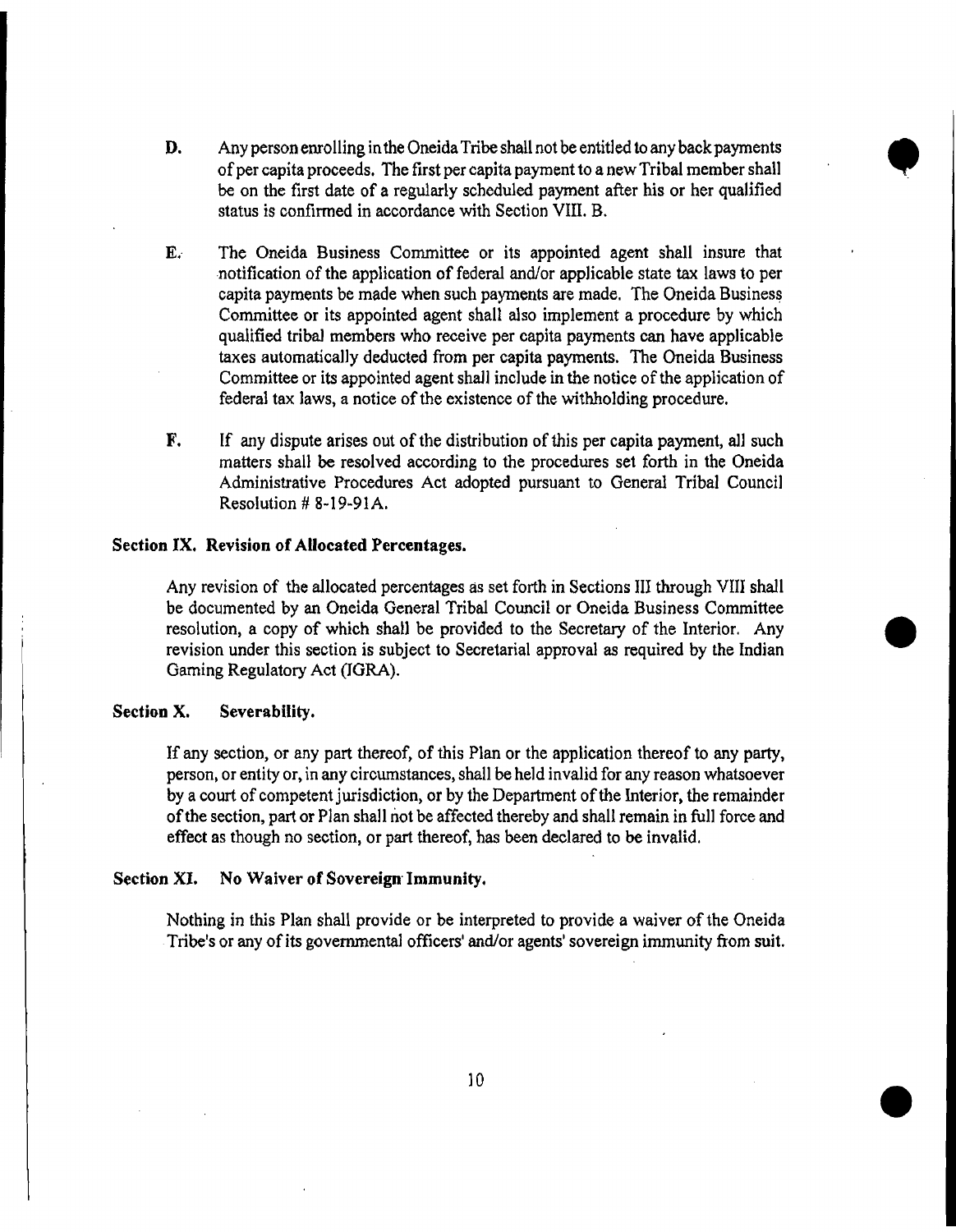D. Any person enrolling in the Oneida Tribe shall not be entitled to any back payments of per capita proceeds. The first per capita payment to a new Tribal member shall be on the first date of a regularly scheduled payment after his or her qualified status is confirmed in accordance with Section VIII. B.

•

- E. The Oneida Business Committee or its appointed agent shall insure that ·notification of the application of federal and/or applicable state tax laws to per capita payments be made when such payments are made. The Oneida Business Committee or its appointed agent shall also implement a procedure by which qualified tribal members who receive per capita payments can have applicable taxes automatically deducted from per capita payments. The Oneida Business Committee or its appointed agent shall include in the notice of the application of federal tax laws, a notice of the existence of the withholding procedure.
- **F.** If any dispute arises out of the distribution of this per capita payment, all such matters shall be resolved according to the procedures set forth in the Oneida Administrative Procedures Act adopted pursuant to General Tribal Council Resolution # 8~ 19~91 A.

#### Section IX. Revision of Allocated Percentages.

Any revision of the allocated percentages as set forth in Sections III through VIII shall be documented by an Oneida General Tribal Council or Oneida Business Committee resolution, a copy of which shall be provided to the Secretary of the Interior. Any revision under this section is subject to Secretarial approval as required by the Indian Gaming Regulatory Act (JORA). centages as set forth in Sections III through VIII shall<br>neral Tribal Council or Oneida Business Committee<br>1 be provided to the Secretary of the Interior. Any<br>ject to Secretarial approval as required by the Indian

# Section X. Severability.

If any section, or any part thereof, of this Plan or the application thereof to any party, person, or entity or. in any circumstances. shall be held invalid for any reason whatsoever by a court of competent jurisdiction, or by the Department of the Interior, the remainder ofthe section, part or Plan shall not be affected thereby and shall remain in full force and effect as though no section, or part thereof. has been declared to be invalid.

# Section XI. No Waiver of Sovereign Immunity.

Nothing in this Plan shall provide or be interpreted to provide a waiver of the Oneida Tribe's or any of its governmental officers' and/or agents' sovereign immunity from suit.